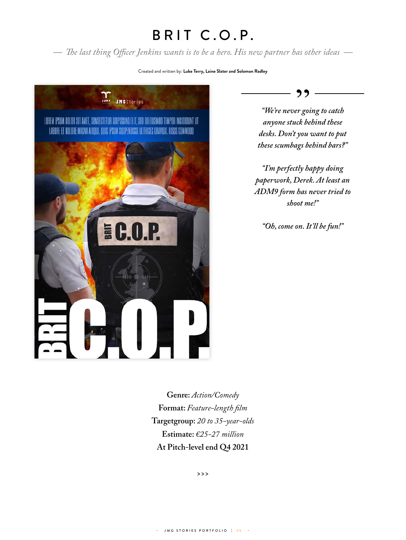## BRIT C.O.P.

*— The last thing Officer Jenkins wants is to be a hero. His new partner has other ideas —*

## Created and written by: **Luke Terry, Laine Slater and Solomon Radley**





*"We're never going to catch anyone stuck behind these desks. Don't you want to put these scumbags behind bars?"*

*"I'm perfectly happy doing paperwork, Derek. At least an ADM9 form has never tried to shoot me!"*

*"Oh, come on. It'll be fun!"*

**Genre:** *Action/Comedy* **Format:** *Feature-length film* **Targetgroup:** *20 to 35-year-olds* **Estimate:** *€25-27 million* **At Pitch-level end Q4 2021**

**>>>**